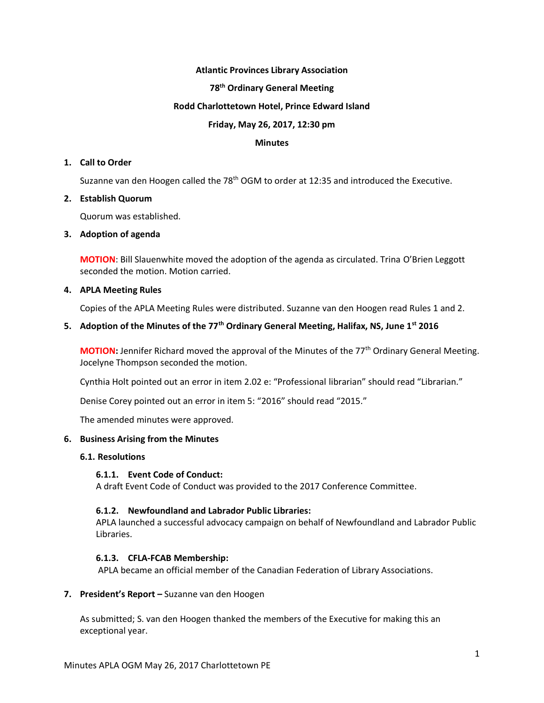### **Atlantic Provinces Library Association**

### **78th Ordinary General Meeting**

### **Rodd Charlottetown Hotel, Prince Edward Island**

### **Friday, May 26, 2017, 12:30 pm**

### **Minutes**

### **1. Call to Order**

Suzanne van den Hoogen called the  $78<sup>th</sup> OGM$  to order at 12:35 and introduced the Executive.

### **2. Establish Quorum**

Quorum was established.

### **3. Adoption of agenda**

**MOTION**: Bill Slauenwhite moved the adoption of the agenda as circulated. Trina O'Brien Leggott seconded the motion. Motion carried.

### **4. APLA Meeting Rules**

Copies of the APLA Meeting Rules were distributed. Suzanne van den Hoogen read Rules 1 and 2.

# **5. Adoption of the Minutes of the 77th Ordinary General Meeting, Halifax, NS, June 1st 2016**

**MOTION:** Jennifer Richard moved the approval of the Minutes of the 77<sup>th</sup> Ordinary General Meeting. Jocelyne Thompson seconded the motion.

Cynthia Holt pointed out an error in item 2.02 e: "Professional librarian" should read "Librarian."

Denise Corey pointed out an error in item 5: "2016" should read "2015."

The amended minutes were approved.

### **6. Business Arising from the Minutes**

### **6.1. Resolutions**

### **6.1.1. Event Code of Conduct:**

A draft Event Code of Conduct was provided to the 2017 Conference Committee.

## **6.1.2. Newfoundland and Labrador Public Libraries:**

APLA launched a successful advocacy campaign on behalf of Newfoundland and Labrador Public Libraries.

## **6.1.3. CFLA-FCAB Membership:**

APLA became an official member of the Canadian Federation of Library Associations.

### **7. President's Report –** Suzanne van den Hoogen

As submitted; S. van den Hoogen thanked the members of the Executive for making this an exceptional year.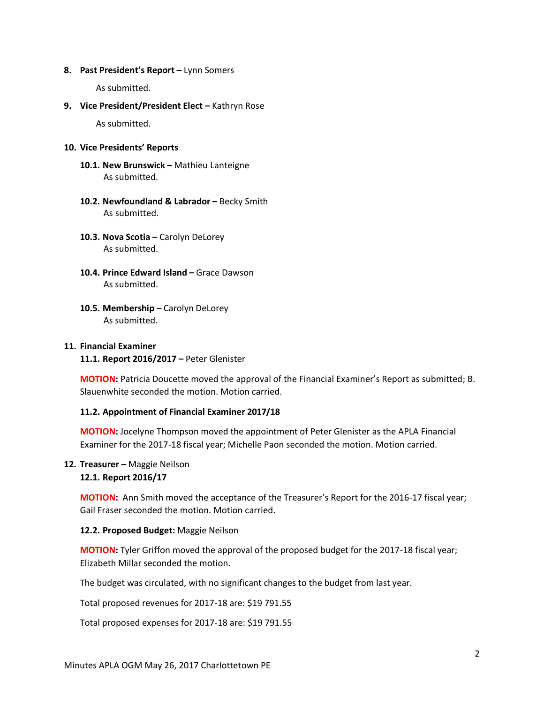#### **8. Past President's Report –** Lynn Somers

As submitted.

### **9. Vice President/President Elect – Kathryn Rose**

As submitted.

### **10. Vice Presidents' Reports**

- **10.1. New Brunswick –** Mathieu Lanteigne As submitted.
- **10.2. Newfoundland & Labrador –** Becky Smith As submitted.
- **10.3. Nova Scotia –** Carolyn DeLorey As submitted.
- **10.4. Prince Edward Island –** Grace Dawson As submitted.
- **10.5. Membership**  Carolyn DeLorey As submitted.

## **11. Financial Examiner**

**11.1. Report 2016/2017 –** Peter Glenister

**MOTION:** Patricia Doucette moved the approval of the Financial Examiner's Report as submitted; B. Slauenwhite seconded the motion. Motion carried.

## **11.2. Appointment of Financial Examiner 2017/18**

**MOTION:** Jocelyne Thompson moved the appointment of Peter Glenister as the APLA Financial Examiner for the 2017-18 fiscal year; Michelle Paon seconded the motion. Motion carried.

### **12. Treasurer –** Maggie Neilson **12.1. Report 2016/17**

**MOTION:** Ann Smith moved the acceptance of the Treasurer's Report for the 2016-17 fiscal year; Gail Fraser seconded the motion. Motion carried.

### **12.2. Proposed Budget:** Maggie Neilson

**MOTION:** Tyler Griffon moved the approval of the proposed budget for the 2017-18 fiscal year; Elizabeth Millar seconded the motion.

The budget was circulated, with no significant changes to the budget from last year.

Total proposed revenues for 2017-18 are: \$19 791.55

Total proposed expenses for 2017-18 are: \$19 791.55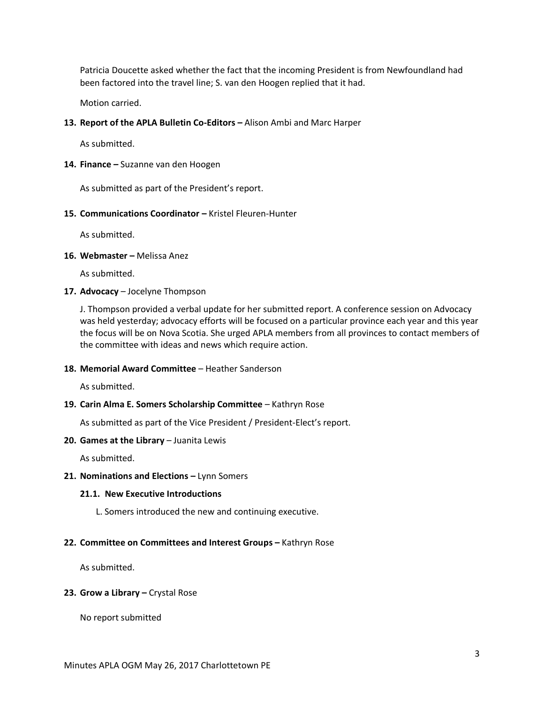Patricia Doucette asked whether the fact that the incoming President is from Newfoundland had been factored into the travel line; S. van den Hoogen replied that it had.

Motion carried.

### 13. **Report of the APLA Bulletin Co-Editors –** Alison Ambi and Marc Harper

As submitted.

### **14. Finance –** Suzanne van den Hoogen

As submitted as part of the President's report.

### **15. Communications Coordinator –** Kristel Fleuren-Hunter

As submitted.

**16. Webmaster –** Melissa Anez

As submitted.

**17. Advocacy** – Jocelyne Thompson

J. Thompson provided a verbal update for her submitted report. A conference session on Advocacy was held yesterday; advocacy efforts will be focused on a particular province each year and this year the focus will be on Nova Scotia. She urged APLA members from all provinces to contact members of the committee with ideas and news which require action.

### **18. Memorial Award Committee** – Heather Sanderson

As submitted.

### **19. Carin Alma E. Somers Scholarship Committee** – Kathryn Rose

As submitted as part of the Vice President / President-Elect's report.

#### **20. Games at the Library** - Juanita Lewis

As submitted.

### **21. Nominations and Elections – Lynn Somers**

#### **21.1. New Executive Introductions**

L. Somers introduced the new and continuing executive.

### **22. Committee on Committees and Interest Groups –** Kathryn Rose

As submitted.

### **23. Grow a Library –** Crystal Rose

No report submitted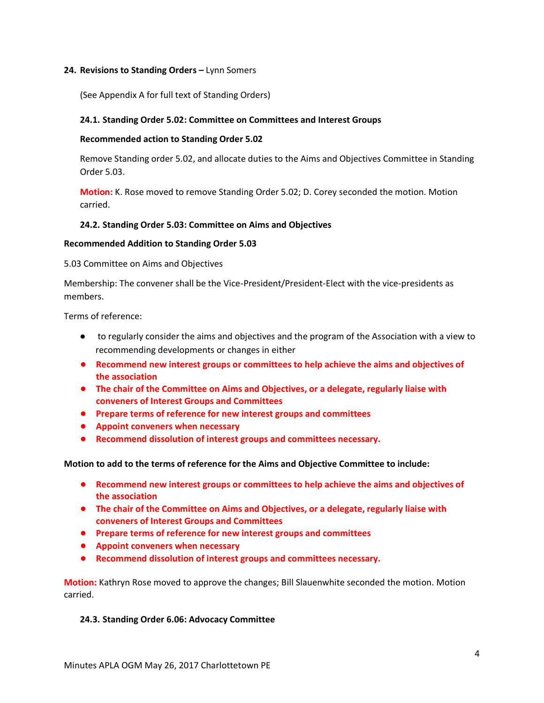### **24. Revisions to Standing Orders –** Lynn Somers

(See Appendix A for full text of Standing Orders)

## **24.1. Standing Order 5.02: Committee on Committees and Interest Groups**

### **Recommended action to Standing Order 5.02**

Remove Standing order 5.02, and allocate duties to the Aims and Objectives Committee in Standing Order 5.03.

**Motion:** K. Rose moved to remove Standing Order 5.02; D. Corey seconded the motion. Motion carried.

### **24.2. Standing Order 5.03: Committee on Aims and Objectives**

### **Recommended Addition to Standing Order 5.03**

5.03 Committee on Aims and Objectives

Membership: The convener shall be the Vice-President/President-Elect with the vice-presidents as members.

Terms of reference:

- to regularly consider the aims and objectives and the program of the Association with a view to recommending developments or changes in either
- **Recommend new interest groups or committees to help achieve the aims and objectives of the association**
- **The chair of the Committee on Aims and Objectives, or a delegate, regularly liaise with conveners of Interest Groups and Committees**
- **Prepare terms of reference for new interest groups and committees**
- **Appoint conveners when necessary**
- **Recommend dissolution of interest groups and committees necessary.**

**Motion to add to the terms of reference for the Aims and Objective Committee to include:**

- **Recommend new interest groups or committees to help achieve the aims and objectives of the association**
- **The chair of the Committee on Aims and Objectives, or a delegate, regularly liaise with conveners of Interest Groups and Committees**
- **Prepare terms of reference for new interest groups and committees**
- **Appoint conveners when necessary**
- **Recommend dissolution of interest groups and committees necessary.**

**Motion:** Kathryn Rose moved to approve the changes; Bill Slauenwhite seconded the motion. Motion carried.

### **24.3. Standing Order 6.06: Advocacy Committee**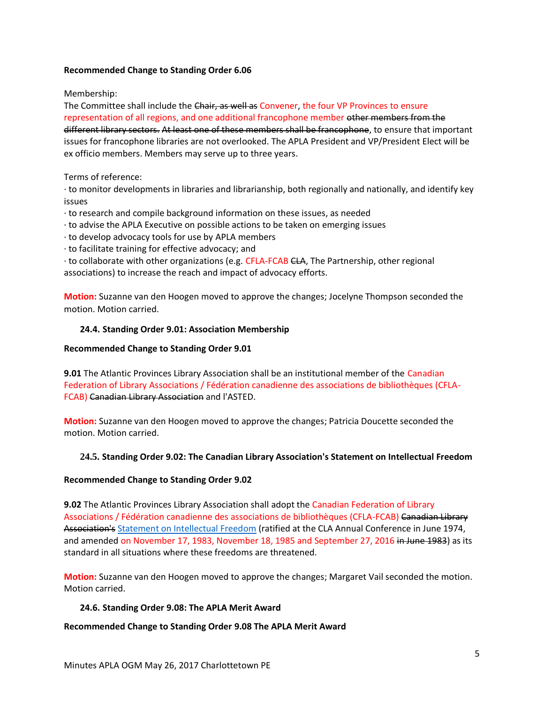## **Recommended Change to Standing Order 6.06**

### Membership:

The Committee shall include the Chair, as well as Convener, the four VP Provinces to ensure representation of all regions, and one additional francophone member other members from the different library sectors. At least one of these members shall be francophone, to ensure that important issues for francophone libraries are not overlooked. The APLA President and VP/President Elect will be ex officio members. Members may serve up to three years.

### Terms of reference:

∙ to monitor developments in libraries and librarianship, both regionally and nationally, and identify key issues

- ∙ to research and compile background information on these issues, as needed
- ∙ to advise the APLA Executive on possible actions to be taken on emerging issues
- ∙ to develop advocacy tools for use by APLA members
- ∙ to facilitate training for effective advocacy; and

∙ to collaborate with other organizations (e.g. CFLA-FCAB CLA, The Partnership, other regional associations) to increase the reach and impact of advocacy efforts.

**Motion:** Suzanne van den Hoogen moved to approve the changes; Jocelyne Thompson seconded the motion. Motion carried.

### **24.4. Standing Order 9.01: Association Membership**

### **Recommended Change to Standing Order 9.01**

**9.01** The Atlantic Provinces Library Association shall be an institutional member of the Canadian Federation of Library Associations / Fédération canadienne des associations de bibliothèques (CFLA-FCAB) Canadian Library Association and l'ASTED.

**Motion:** Suzanne van den Hoogen moved to approve the changes; Patricia Doucette seconded the motion. Motion carried.

## **24.5. Standing Order 9.02: The Canadian Library Association's Statement on Intellectual Freedom**

## **Recommended Change to Standing Order 9.02**

**9.02** The Atlantic Provinces Library Association shall adopt the Canadian Federation of Library Associations / Fédération canadienne des associations de bibliothèques (CFLA-FCAB) Canadian Library Association's [Statement on Intellectual Freedom](http://cfla-fcab.ca/en/programs/guidelines-and-position-papers/statement-on-intellectual-freedom-and-libraries/) (ratified at the CLA Annual Conference in June 1974, and amended on November 17, 1983, November 18, 1985 and September 27, 2016 in June 1983) as its standard in all situations where these freedoms are threatened.

**Motion:** Suzanne van den Hoogen moved to approve the changes; Margaret Vail seconded the motion. Motion carried.

## **24.6. Standing Order 9.08: The APLA Merit Award**

### **Recommended Change to Standing Order 9.08 The APLA Merit Award**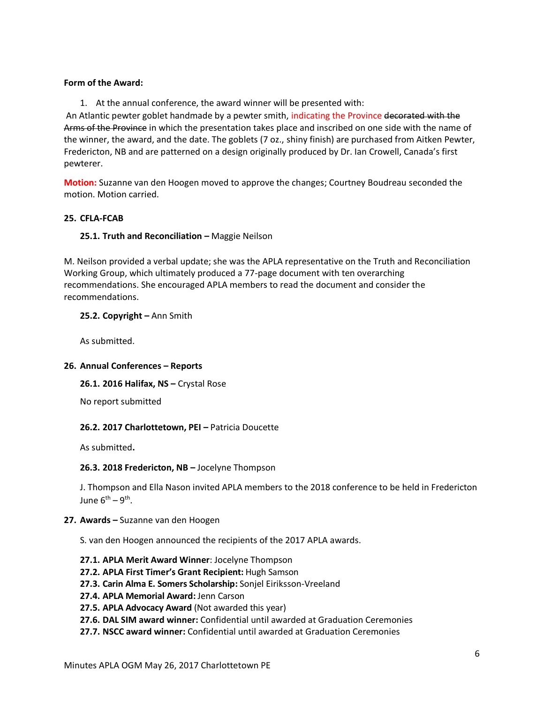## **Form of the Award:**

1. At the annual conference, the award winner will be presented with:

An Atlantic pewter goblet handmade by a pewter smith, indicating the Province decorated with the Arms of the Province in which the presentation takes place and inscribed on one side with the name of the winner, the award, and the date. The goblets (7 oz., shiny finish) are purchased from Aitken Pewter, Fredericton, NB and are patterned on a design originally produced by Dr. Ian Crowell, Canada's first pewterer.

**Motion:** Suzanne van den Hoogen moved to approve the changes; Courtney Boudreau seconded the motion. Motion carried.

### **25. CFLA-FCAB**

### **25.1. Truth and Reconciliation –** Maggie Neilson

M. Neilson provided a verbal update; she was the APLA representative on the Truth and Reconciliation Working Group, which ultimately produced a 77-page document with ten overarching recommendations. She encouraged APLA members to read the document and consider the recommendations.

### **25.2. Copyright –** Ann Smith

As submitted.

### **26. Annual Conferences – Reports**

**26.1. 2016 Halifax, NS –** Crystal Rose

No report submitted

### **26.2. 2017 Charlottetown, PEI –** Patricia Doucette

As submitted**.**

## **26.3. 2018 Fredericton, NB –** Jocelyne Thompson

J. Thompson and Ella Nason invited APLA members to the 2018 conference to be held in Fredericton June 6<sup>th</sup> – 9<sup>th</sup>.

### **27. Awards –** Suzanne van den Hoogen

S. van den Hoogen announced the recipients of the 2017 APLA awards.

- **27.1. APLA Merit Award Winner**: Jocelyne Thompson
- **27.2. APLA First Timer's Grant Recipient:** Hugh Samson
- **27.3. Carin Alma E. Somers Scholarship:** Sonjel Eiriksson-Vreeland
- **27.4. APLA Memorial Award:** Jenn Carson
- **27.5. APLA Advocacy Award** (Not awarded this year)
- **27.6. DAL SIM award winner:** Confidential until awarded at Graduation Ceremonies
- **27.7. NSCC award winner:** Confidential until awarded at Graduation Ceremonies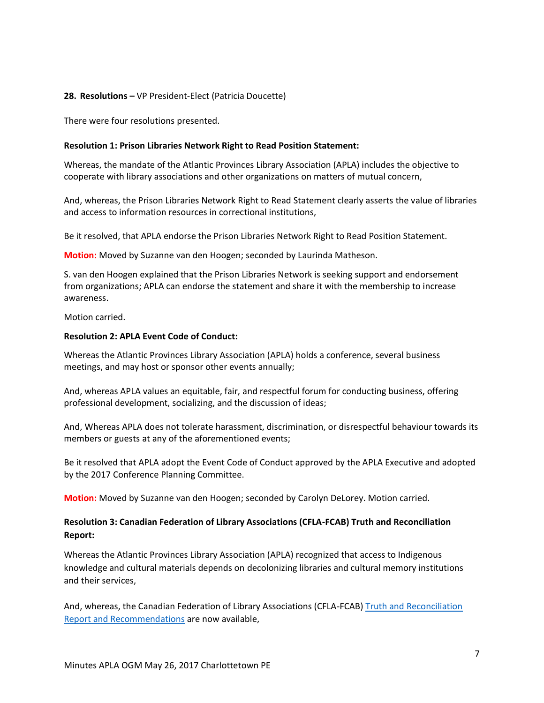## **28. Resolutions –** VP President-Elect (Patricia Doucette)

There were four resolutions presented.

### **Resolution 1: Prison Libraries Network Right to Read Position Statement:**

Whereas, the mandate of the Atlantic Provinces Library Association (APLA) includes the objective to cooperate with library associations and other organizations on matters of mutual concern,

And, whereas, the Prison Libraries Network Right to Read Statement clearly asserts the value of libraries and access to information resources in correctional institutions,

Be it resolved, that APLA endorse the Prison Libraries Network Right to Read Position Statement.

**Motion:** Moved by Suzanne van den Hoogen; seconded by Laurinda Matheson.

S. van den Hoogen explained that the Prison Libraries Network is seeking support and endorsement from organizations; APLA can endorse the statement and share it with the membership to increase awareness.

Motion carried.

### **Resolution 2: APLA Event Code of Conduct:**

Whereas the Atlantic Provinces Library Association (APLA) holds a conference, several business meetings, and may host or sponsor other events annually;

And, whereas APLA values an equitable, fair, and respectful forum for conducting business, offering professional development, socializing, and the discussion of ideas;

And, Whereas APLA does not tolerate harassment, discrimination, or disrespectful behaviour towards its members or guests at any of the aforementioned events;

Be it resolved that APLA adopt the Event Code of Conduct approved by the APLA Executive and adopted by the 2017 Conference Planning Committee.

**Motion:** Moved by Suzanne van den Hoogen; seconded by Carolyn DeLorey. Motion carried.

## **Resolution 3: Canadian Federation of Library Associations (CFLA-FCAB) Truth and Reconciliation Report:**

Whereas the Atlantic Provinces Library Association (APLA) recognized that access to Indigenous knowledge and cultural materials depends on decolonizing libraries and cultural memory institutions and their services,

And, whereas, the Canadian Federation of Library Associations (CFLA-FCAB[\) Truth and Reconciliation](http://cfla-fcab.ca/wp-content/uploads/2017/04/Truth-and-Reconciliation-Committee-Report-and-Recommendations.pdf)  [Report and Recommendations](http://cfla-fcab.ca/wp-content/uploads/2017/04/Truth-and-Reconciliation-Committee-Report-and-Recommendations.pdf) are now available,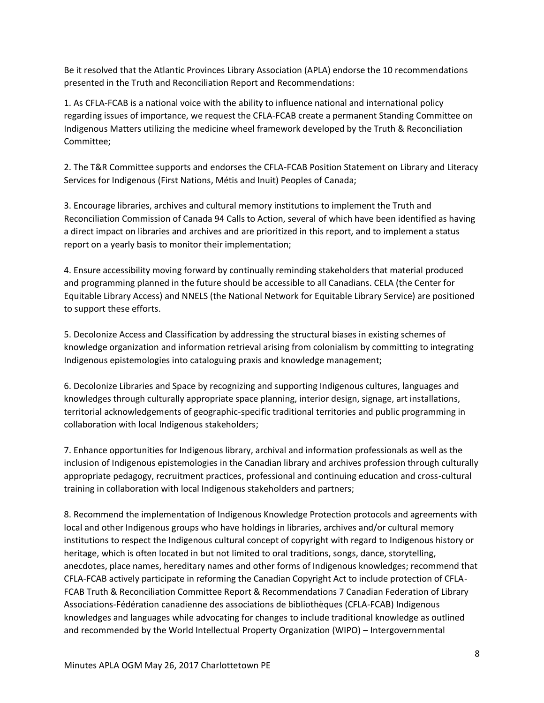Be it resolved that the Atlantic Provinces Library Association (APLA) endorse the 10 recommendations presented in the Truth and Reconciliation Report and Recommendations:

1. As CFLA-FCAB is a national voice with the ability to influence national and international policy regarding issues of importance, we request the CFLA-FCAB create a permanent Standing Committee on Indigenous Matters utilizing the medicine wheel framework developed by the Truth & Reconciliation Committee;

2. The T&R Committee supports and endorses the CFLA-FCAB Position Statement on Library and Literacy Services for Indigenous (First Nations, Métis and Inuit) Peoples of Canada;

3. Encourage libraries, archives and cultural memory institutions to implement the Truth and Reconciliation Commission of Canada 94 Calls to Action, several of which have been identified as having a direct impact on libraries and archives and are prioritized in this report, and to implement a status report on a yearly basis to monitor their implementation;

4. Ensure accessibility moving forward by continually reminding stakeholders that material produced and programming planned in the future should be accessible to all Canadians. CELA (the Center for Equitable Library Access) and NNELS (the National Network for Equitable Library Service) are positioned to support these efforts.

5. Decolonize Access and Classification by addressing the structural biases in existing schemes of knowledge organization and information retrieval arising from colonialism by committing to integrating Indigenous epistemologies into cataloguing praxis and knowledge management;

6. Decolonize Libraries and Space by recognizing and supporting Indigenous cultures, languages and knowledges through culturally appropriate space planning, interior design, signage, art installations, territorial acknowledgements of geographic-specific traditional territories and public programming in collaboration with local Indigenous stakeholders;

7. Enhance opportunities for Indigenous library, archival and information professionals as well as the inclusion of Indigenous epistemologies in the Canadian library and archives profession through culturally appropriate pedagogy, recruitment practices, professional and continuing education and cross-cultural training in collaboration with local Indigenous stakeholders and partners;

8. Recommend the implementation of Indigenous Knowledge Protection protocols and agreements with local and other Indigenous groups who have holdings in libraries, archives and/or cultural memory institutions to respect the Indigenous cultural concept of copyright with regard to Indigenous history or heritage, which is often located in but not limited to oral traditions, songs, dance, storytelling, anecdotes, place names, hereditary names and other forms of Indigenous knowledges; recommend that CFLA-FCAB actively participate in reforming the Canadian Copyright Act to include protection of CFLA-FCAB Truth & Reconciliation Committee Report & Recommendations 7 Canadian Federation of Library Associations-Fédération canadienne des associations de bibliothèques (CFLA-FCAB) Indigenous knowledges and languages while advocating for changes to include traditional knowledge as outlined and recommended by the World Intellectual Property Organization (WIPO) – Intergovernmental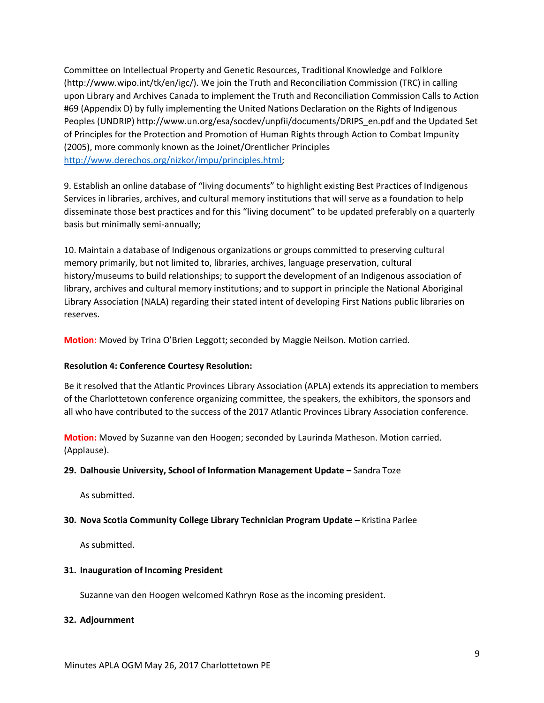Committee on Intellectual Property and Genetic Resources, Traditional Knowledge and Folklore (http://www.wipo.int/tk/en/igc/). We join the Truth and Reconciliation Commission (TRC) in calling upon Library and Archives Canada to implement the Truth and Reconciliation Commission Calls to Action #69 (Appendix D) by fully implementing the United Nations Declaration on the Rights of Indigenous Peoples (UNDRIP) http://www.un.org/esa/socdev/unpfii/documents/DRIPS\_en.pdf and the Updated Set of Principles for the Protection and Promotion of Human Rights through Action to Combat Impunity (2005), more commonly known as the Joinet/Orentlicher Principles [http://www.derechos.org/nizkor/impu/principles.html;](http://www.derechos.org/nizkor/impu/principles.html)

9. Establish an online database of "living documents" to highlight existing Best Practices of Indigenous Services in libraries, archives, and cultural memory institutions that will serve as a foundation to help disseminate those best practices and for this "living document" to be updated preferably on a quarterly basis but minimally semi-annually;

10. Maintain a database of Indigenous organizations or groups committed to preserving cultural memory primarily, but not limited to, libraries, archives, language preservation, cultural history/museums to build relationships; to support the development of an Indigenous association of library, archives and cultural memory institutions; and to support in principle the National Aboriginal Library Association (NALA) regarding their stated intent of developing First Nations public libraries on reserves.

**Motion:** Moved by Trina O'Brien Leggott; seconded by Maggie Neilson. Motion carried.

### **Resolution 4: Conference Courtesy Resolution:**

Be it resolved that the Atlantic Provinces Library Association (APLA) extends its appreciation to members of the Charlottetown conference organizing committee, the speakers, the exhibitors, the sponsors and all who have contributed to the success of the 2017 Atlantic Provinces Library Association conference.

**Motion:** Moved by Suzanne van den Hoogen; seconded by Laurinda Matheson. Motion carried. (Applause).

### **29. Dalhousie University, School of Information Management Update –** Sandra Toze

As submitted.

## **30. Nova Scotia Community College Library Technician Program Update –** Kristina Parlee

As submitted.

### **31. Inauguration of Incoming President**

Suzanne van den Hoogen welcomed Kathryn Rose as the incoming president.

### **32. Adjournment**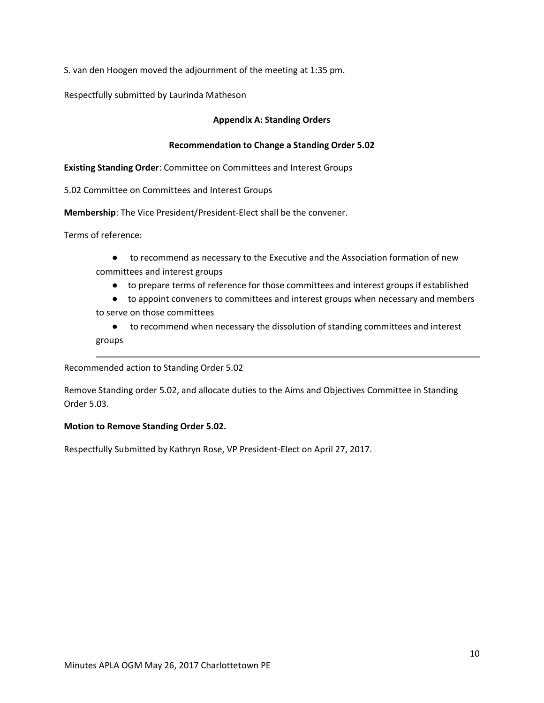S. van den Hoogen moved the adjournment of the meeting at 1:35 pm.

Respectfully submitted by Laurinda Matheson

## **Appendix A: Standing Orders**

### **Recommendation to Change a Standing Order 5.02**

**Existing Standing Order**: Committee on Committees and Interest Groups

5.02 Committee on Committees and Interest Groups

**Membership**: The Vice President/President-Elect shall be the convener.

Terms of reference:

- to recommend as necessary to the Executive and the Association formation of new committees and interest groups
	- to prepare terms of reference for those committees and interest groups if established
- to appoint conveners to committees and interest groups when necessary and members to serve on those committees
- to recommend when necessary the dissolution of standing committees and interest groups

Recommended action to Standing Order 5.02

Remove Standing order 5.02, and allocate duties to the Aims and Objectives Committee in Standing Order 5.03.

### **Motion to Remove Standing Order 5.02.**

Respectfully Submitted by Kathryn Rose, VP President-Elect on April 27, 2017.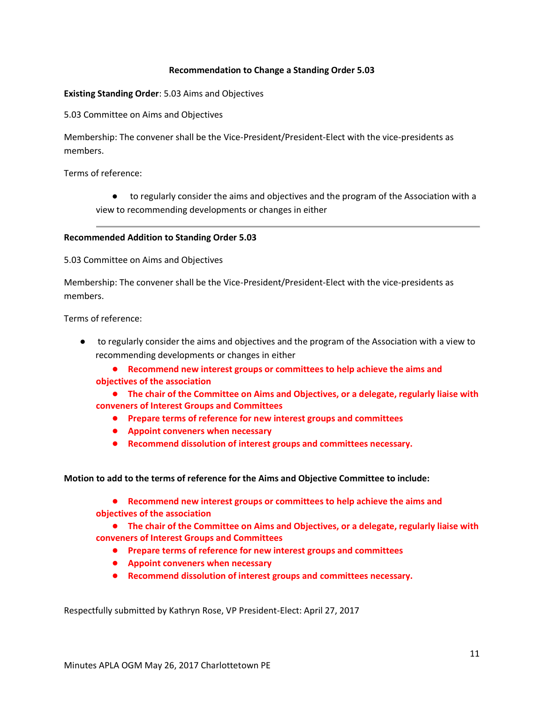### **Recommendation to Change a Standing Order 5.03**

### **Existing Standing Order**: 5.03 Aims and Objectives

5.03 Committee on Aims and Objectives

Membership: The convener shall be the Vice-President/President-Elect with the vice-presidents as members.

Terms of reference:

● to regularly consider the aims and objectives and the program of the Association with a view to recommending developments or changes in either

### **Recommended Addition to Standing Order 5.03**

5.03 Committee on Aims and Objectives

Membership: The convener shall be the Vice-President/President-Elect with the vice-presidents as members.

Terms of reference:

● to regularly consider the aims and objectives and the program of the Association with a view to recommending developments or changes in either

● **Recommend new interest groups or committees to help achieve the aims and objectives of the association** 

● **The chair of the Committee on Aims and Objectives, or a delegate, regularly liaise with conveners of Interest Groups and Committees**

- **Prepare terms of reference for new interest groups and committees**
- **Appoint conveners when necessary**
- **Recommend dissolution of interest groups and committees necessary.**

**Motion to add to the terms of reference for the Aims and Objective Committee to include:**

● **Recommend new interest groups or committees to help achieve the aims and objectives of the association** 

● **The chair of the Committee on Aims and Objectives, or a delegate, regularly liaise with conveners of Interest Groups and Committees**

- **Prepare terms of reference for new interest groups and committees**
- **Appoint conveners when necessary**
- **Recommend dissolution of interest groups and committees necessary.**

Respectfully submitted by Kathryn Rose, VP President-Elect: April 27, 2017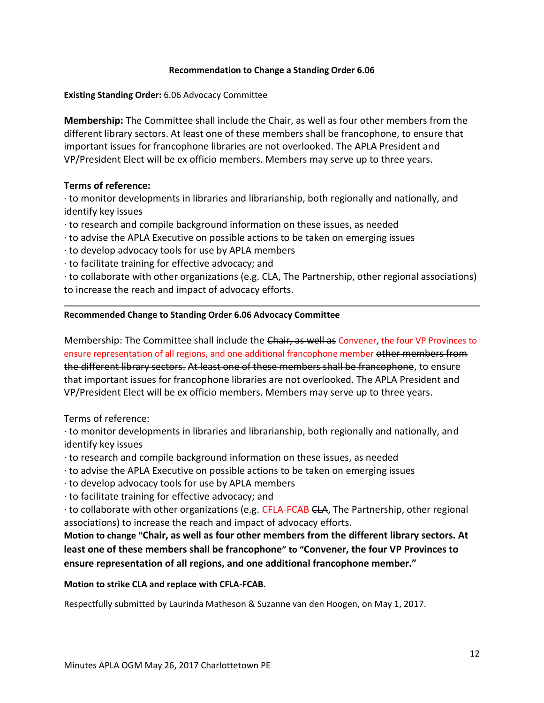## **Recommendation to Change a Standing Order 6.06**

**Existing Standing Order:** 6.06 Advocacy Committee

**Membership:** The Committee shall include the Chair, as well as four other members from the different library sectors. At least one of these members shall be francophone, to ensure that important issues for francophone libraries are not overlooked. The APLA President and VP/President Elect will be ex officio members. Members may serve up to three years.

## **Terms of reference:**

∙ to monitor developments in libraries and librarianship, both regionally and nationally, and identify key issues

- ∙ to research and compile background information on these issues, as needed
- ∙ to advise the APLA Executive on possible actions to be taken on emerging issues
- ∙ to develop advocacy tools for use by APLA members
- ∙ to facilitate training for effective advocacy; and

∙ to collaborate with other organizations (e.g. CLA, The Partnership, other regional associations) to increase the reach and impact of advocacy efforts.

## **Recommended Change to Standing Order 6.06 Advocacy Committee**

Membership: The Committee shall include the Chair, as well as Convener, the four VP Provinces to ensure representation of all regions, and one additional francophone member other members from the different library sectors. At least one of these members shall be francophone, to ensure that important issues for francophone libraries are not overlooked. The APLA President and VP/President Elect will be ex officio members. Members may serve up to three years.

Terms of reference:

∙ to monitor developments in libraries and librarianship, both regionally and nationally, and identify key issues

- ∙ to research and compile background information on these issues, as needed
- ∙ to advise the APLA Executive on possible actions to be taken on emerging issues
- ∙ to develop advocacy tools for use by APLA members
- ∙ to facilitate training for effective advocacy; and

∙ to collaborate with other organizations (e.g. CFLA-FCAB CLA, The Partnership, other regional associations) to increase the reach and impact of advocacy efforts.

**Motion to change "Chair, as well as four other members from the different library sectors. At least one of these members shall be francophone" to "Convener, the four VP Provinces to ensure representation of all regions, and one additional francophone member."**

**Motion to strike CLA and replace with CFLA-FCAB.**

Respectfully submitted by Laurinda Matheson & Suzanne van den Hoogen, on May 1, 2017.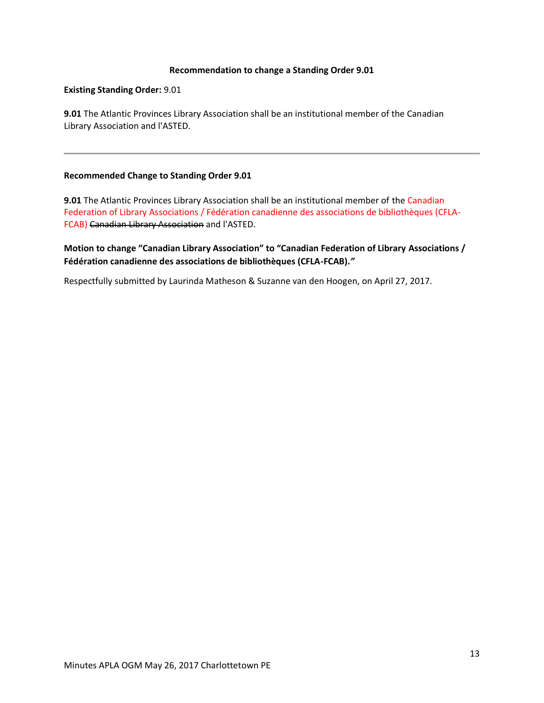### **Recommendation to change a Standing Order 9.01**

#### **Existing Standing Order:** 9.01

**9.01** The Atlantic Provinces Library Association shall be an institutional member of the Canadian Library Association and l'ASTED.

### **Recommended Change to Standing Order 9.01**

**9.01** The Atlantic Provinces Library Association shall be an institutional member of the Canadian Federation of Library Associations / Fédération canadienne des associations de bibliothèques (CFLA-FCAB) Canadian Library Association and l'ASTED.

**Motion to change "Canadian Library Association" to "Canadian Federation of Library Associations / Fédération canadienne des associations de bibliothèques (CFLA-FCAB).***"*

Respectfully submitted by Laurinda Matheson & Suzanne van den Hoogen, on April 27, 2017.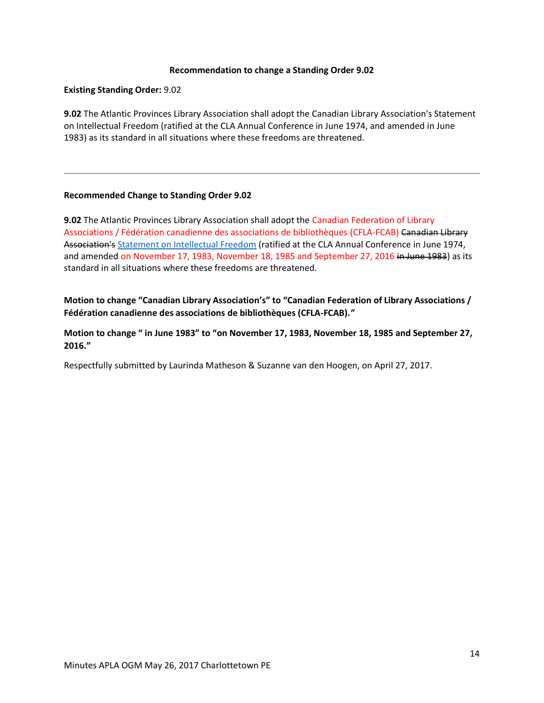### **Recommendation to change a Standing Order 9.02**

### **Existing Standing Order:** 9.02

**9.02** The Atlantic Provinces Library Association shall adopt the Canadian Library Association's Statement on Intellectual Freedom (ratified at the CLA Annual Conference in June 1974, and amended in June 1983) as its standard in all situations where these freedoms are threatened.

### **Recommended Change to Standing Order 9.02**

**9.02** The Atlantic Provinces Library Association shall adopt the Canadian Federation of Library Associations / Fédération canadienne des associations de bibliothèques (CFLA-FCAB) Canadian Library Association's [Statement on Intellectual Freedom](http://cfla-fcab.ca/en/programs/guidelines-and-position-papers/statement-on-intellectual-freedom-and-libraries/) (ratified at the CLA Annual Conference in June 1974, and amended on November 17, 1983, November 18, 1985 and September 27, 2016 in June 1983) as its standard in all situations where these freedoms are threatened.

**Motion to change "Canadian Library Association's" to "Canadian Federation of Library Associations / Fédération canadienne des associations de bibliothèques (CFLA-FCAB).***"*

**Motion to change " in June 1983" to "on November 17, 1983, November 18, 1985 and September 27, 2016."**

Respectfully submitted by Laurinda Matheson & Suzanne van den Hoogen, on April 27, 2017.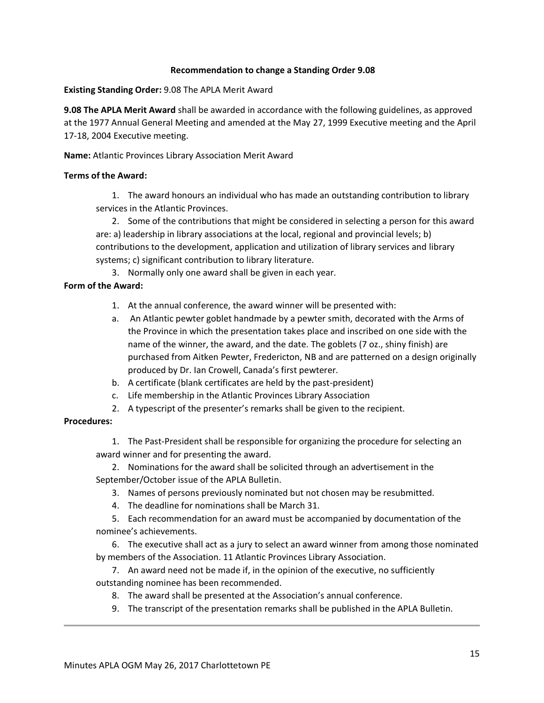## **Recommendation to change a Standing Order 9.08**

**Existing Standing Order:** 9.08 The APLA Merit Award

**9.08 The APLA Merit Award** shall be awarded in accordance with the following guidelines, as approved at the 1977 Annual General Meeting and amended at the May 27, 1999 Executive meeting and the April 17-18, 2004 Executive meeting.

**Name:** Atlantic Provinces Library Association Merit Award

## **Terms of the Award:**

1. The award honours an individual who has made an outstanding contribution to library services in the Atlantic Provinces.

2. Some of the contributions that might be considered in selecting a person for this award are: a) leadership in library associations at the local, regional and provincial levels; b) contributions to the development, application and utilization of library services and library systems; c) significant contribution to library literature.

3. Normally only one award shall be given in each year.

# **Form of the Award:**

- 1. At the annual conference, the award winner will be presented with:
- a. An Atlantic pewter goblet handmade by a pewter smith, decorated with the Arms of the Province in which the presentation takes place and inscribed on one side with the name of the winner, the award, and the date. The goblets (7 oz., shiny finish) are purchased from Aitken Pewter, Fredericton, NB and are patterned on a design originally produced by Dr. Ian Crowell, Canada's first pewterer.
- b. A certificate (blank certificates are held by the past-president)
- c. Life membership in the Atlantic Provinces Library Association
- 2. A typescript of the presenter's remarks shall be given to the recipient.

## **Procedures:**

1. The Past-President shall be responsible for organizing the procedure for selecting an award winner and for presenting the award.

2. Nominations for the award shall be solicited through an advertisement in the September/October issue of the APLA Bulletin.

- 3. Names of persons previously nominated but not chosen may be resubmitted.
- 4. The deadline for nominations shall be March 31.

5. Each recommendation for an award must be accompanied by documentation of the nominee's achievements.

6. The executive shall act as a jury to select an award winner from among those nominated by members of the Association. 11 Atlantic Provinces Library Association.

7. An award need not be made if, in the opinion of the executive, no sufficiently outstanding nominee has been recommended.

- 8. The award shall be presented at the Association's annual conference.
- 9. The transcript of the presentation remarks shall be published in the APLA Bulletin.